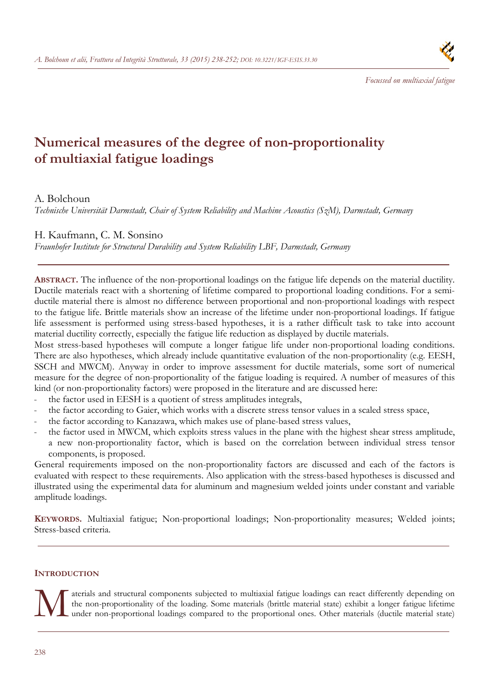

# **Numerical measures of the degree of non-proportionality of multiaxial fatigue loadings**

# A. Bolchoun

*Technische Universität Darmstadt, Chair of System Reliability and Machine Acoustics (SzM), Darmstadt, Germany* 

# H. Kaufmann, C. M. Sonsino

*Fraunhofer Institute for Structural Durability and System Reliability LBF, Darmstadt, Germany* 

**ABSTRACT.** The influence of the non-proportional loadings on the fatigue life depends on the material ductility. Ductile materials react with a shortening of lifetime compared to proportional loading conditions. For a semiductile material there is almost no difference between proportional and non-proportional loadings with respect to the fatigue life. Brittle materials show an increase of the lifetime under non-proportional loadings. If fatigue life assessment is performed using stress-based hypotheses, it is a rather difficult task to take into account material ductility correctly, especially the fatigue life reduction as displayed by ductile materials.

Most stress-based hypotheses will compute a longer fatigue life under non-proportional loading conditions. There are also hypotheses, which already include quantitative evaluation of the non-proportionality (e.g. EESH, SSCH and MWCM). Anyway in order to improve assessment for ductile materials, some sort of numerical measure for the degree of non-proportionality of the fatigue loading is required. A number of measures of this kind (or non-proportionality factors) were proposed in the literature and are discussed here:

- the factor used in EESH is a quotient of stress amplitudes integrals,
- the factor according to Gaier, which works with a discrete stress tensor values in a scaled stress space,
- the factor according to Kanazawa, which makes use of plane-based stress values,
- the factor used in MWCM, which exploits stress values in the plane with the highest shear stress amplitude, a new non-proportionality factor, which is based on the correlation between individual stress tensor components, is proposed.

General requirements imposed on the non-proportionality factors are discussed and each of the factors is evaluated with respect to these requirements. Also application with the stress-based hypotheses is discussed and illustrated using the experimental data for aluminum and magnesium welded joints under constant and variable amplitude loadings.

**KEYWORDS.** Multiaxial fatigue; Non-proportional loadings; Non-proportionality measures; Welded joints; Stress-based criteria.

# **INTRODUCTION**

aterials and structural components subjected to multiaxial fatigue loadings can react differently depending on the non-proportionality of the loading. Some materials (brittle material state) exhibit a longer fatigue lifeti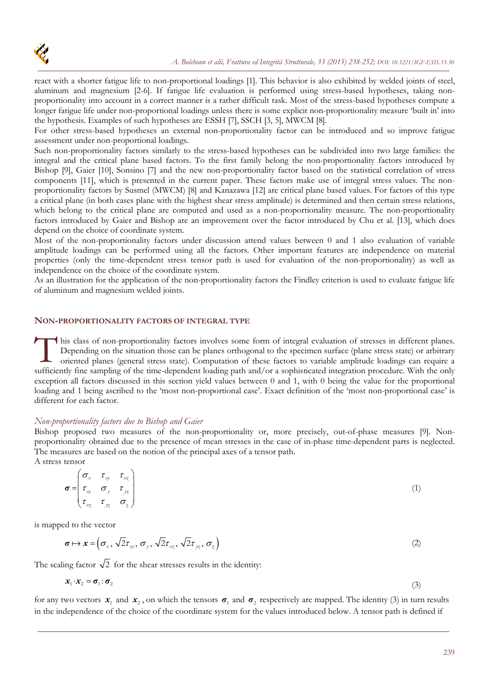react with a shorter fatigue life to non-proportional loadings [1]. This behavior is also exhibited by welded joints of steel, aluminum and magnesium [2-6]. If fatigue life evaluation is performed using stress-based hypotheses, taking nonproportionality into account in a correct manner is a rather difficult task. Most of the stress-based hypotheses compute a longer fatigue life under non-proportional loadings unless there is some explicit non-proportionality measure 'built in' into the hypothesis. Examples of such hypotheses are ESSH [7], SSCH [3, 5], MWCM [8].

For other stress-based hypotheses an external non-proportionality factor can be introduced and so improve fatigue assessment under non-proportional loadings.

Such non-proportionality factors similarly to the stress-based hypotheses can be subdivided into two large families: the integral and the critical plane based factors. To the first family belong the non-proportionality factors introduced by Bishop [9], Gaier [10], Sonsino [7] and the new non-proportionality factor based on the statistical correlation of stress components [11], which is presented in the current paper. These factors make use of integral stress values. The nonproportionality factors by Susmel (MWCM) [8] and Kanazawa [12] are critical plane based values. For factors of this type a critical plane (in both cases plane with the highest shear stress amplitude) is determined and then certain stress relations, which belong to the critical plane are computed and used as a non-proportionality measure. The non-proportionality factors introduced by Gaier and Bishop are an improvement over the factor introduced by Chu et al. [13], which does depend on the choice of coordinate system.

Most of the non-proportionality factors under discussion attend values between 0 and 1 also evaluation of variable amplitude loadings can be performed using all the factors. Other important features are independence on material properties (only the time-dependent stress tensor path is used for evaluation of the non-proportionality) as well as independence on the choice of the coordinate system.

As an illustration for the application of the non-proportionality factors the Findley criterion is used to evaluate fatigue life of aluminum and magnesium welded joints.

#### **NON-PROPORTIONALITY FACTORS OF INTEGRAL TYPE**

his class of non-proportionality factors involves some form of integral evaluation of stresses in different planes. Depending on the situation those can be planes orthogonal to the specimen surface (plane stress state) or arbitrary oriented planes (general stress state). Computation of these factors to variable amplitude loadings can require a This class of non-proportionality factors involves some form of integral evaluation of stresses in different planes.<br>Depending on the situation those can be planes orthogonal to the specimen surface (plane stress state) or exception all factors discussed in this section yield values between 0 and 1, with 0 being the value for the proportional loading and 1 being ascribed to the 'most non-proportional case'. Exact definition of the 'most non-proportional case' is different for each factor.

### *Non-proportionality factors due to Bishop and Gaier*

Bishop proposed two measures of the non-proportionality or, more precisely, out-of-phase measures [9]. Nonproportionality obtained due to the presence of mean stresses in the case of in-phase time-dependent parts is neglected. The measures are based on the notion of the principal axes of a tensor path. A stress tensor

$$
\boldsymbol{\sigma} = \begin{pmatrix} \sigma_x & \tau_{xy} & \tau_{xz} \\ \tau_{xy} & \sigma_y & \tau_{yz} \\ \tau_{xz} & \tau_{yz} & \sigma_z \end{pmatrix}
$$
 (1)

is mapped to the vector

$$
\boldsymbol{\sigma} \mapsto \boldsymbol{x} = (\sigma_{\mathbf{x}}, \sqrt{2}\tau_{\mathbf{x}}, \sigma_{\mathbf{y}}, \sqrt{2}\tau_{\mathbf{x}}, \sqrt{2}\tau_{\mathbf{y}}, \sigma_{\mathbf{x}}) \tag{2}
$$

The scaling factor  $\sqrt{2}$  for the shear stresses results in the identity:

$$
x_1 \cdot x_2 = \sigma_1 \cdot \sigma_2 \tag{3}
$$

for any two vectors  $x_1$  and  $x_2$ , on which the tensors  $\sigma_1$  and  $\sigma_2$  respectively are mapped. The identity (3) in turn results in the independence of the choice of the coordinate system for the values introduced below. A tensor path is defined if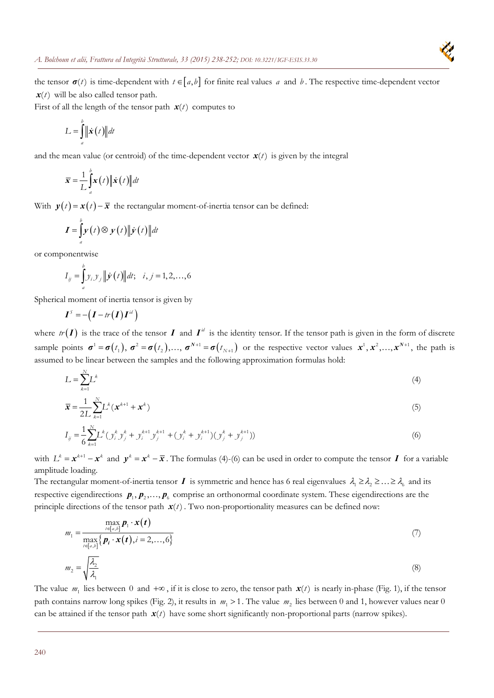

the tensor  $\sigma(t)$  is time-dependent with  $t \in [a,b]$  for finite real values *a* and *b*. The respective time-dependent vector  $x(t)$  will be also called tensor path.

First of all the length of the tensor path  $\mathbf{x}(t)$  computes to

$$
L = \int_{a}^{b} \|\dot{\mathbf{x}}(t)\| dt
$$

and the mean value (or centroid) of the time-dependent vector  $\mathbf{x}(t)$  is given by the integral

$$
\overline{\mathbf{x}} = \frac{1}{L} \int_{a}^{b} \mathbf{x}(t) \|\dot{\mathbf{x}}(t)\| dt
$$

With  $y(t) = x(t) - \overline{x}$  the rectangular moment-of-inertia tensor can be defined:

$$
\boldsymbol{I} = \int_{a}^{b} \boldsymbol{y}(t) \otimes \boldsymbol{y}(t) \|\dot{\boldsymbol{y}}(t)\| dt
$$

or componentwise

$$
I_{ij} = \int_{a}^{b} y_{i} y_{j} || \dot{\mathbf{y}}(t) || dt; \quad i, j = 1, 2, ..., 6
$$

Spherical moment of inertia tensor is given by

$$
\boldsymbol{I}^{\mathcal{S}} = -(\boldsymbol{I} - tr(\boldsymbol{I})\boldsymbol{I}^{\mathcal{U}})
$$

where  $tr(I)$  is the trace of the tensor *I* and  $I^{\mathcal{U}}$  is the identity tensor. If the tensor path is given in the form of discrete sample points  $\sigma^1 = \sigma(t_1)$ ,  $\sigma^2 = \sigma(t_2)$ ,...,  $\sigma^{N+1} = \sigma(t_{N+1})$  or the respective vector values  $x^1, x^2,...,x^{N+1}$ , the path is assumed to be linear between the samples and the following approximation formulas hold:

$$
L = \sum_{k=1}^{N} L^k \tag{4}
$$

$$
\overline{\mathbf{x}} = \frac{1}{2L} \sum_{k=1}^{N} L^k (\mathbf{x}^{k+1} + \mathbf{x}^k)
$$
(5)

$$
I_{ij} = \frac{1}{6} \sum_{k=1}^{N} L^k (y_i^k y_j^k + y_i^{k+1} y_j^{k+1} + (y_i^k + y_i^{k+1}) (y_j^k + y_j^{k+1}))
$$
(6)

with  $L^k = x^{k+1} - x^k$  and  $y^k = x^k - \overline{x}$ . The formulas (4)-(6) can be used in order to compute the tensor *I* for a variable amplitude loading.

The rectangular moment-of-inertia tensor *I* is symmetric and hence has 6 real eigenvalues  $\lambda_1 \ge \lambda_2 \ge ... \ge \lambda_6$  and its respective eigendirections  $p_1, p_2, \ldots, p_k$  comprise an orthonormal coordinate system. These eigendirections are the principle directions of the tensor path  $x(t)$ . Two non-proportionality measures can be defined now:

$$
m_1 = \frac{\max_{i \in [a,b]} p_1 \cdot x(t)}{\max_{i \in [a,b]} \{p_i \cdot x(t), i = 2,...,6\}}
$$
(7)  

$$
m_2 = \sqrt{\frac{\lambda_2}{\lambda_1}}
$$
(8)

The value  $m_1$  lies between 0 and  $+\infty$ , if it is close to zero, the tensor path  $x(t)$  is nearly in-phase (Fig. 1), if the tensor path contains narrow long spikes (Fig. 2), it results in  $m_1 > 1$ . The value  $m_2$  lies between 0 and 1, however values near 0 can be attained if the tensor path  $x(t)$  have some short significantly non-proportional parts (narrow spikes).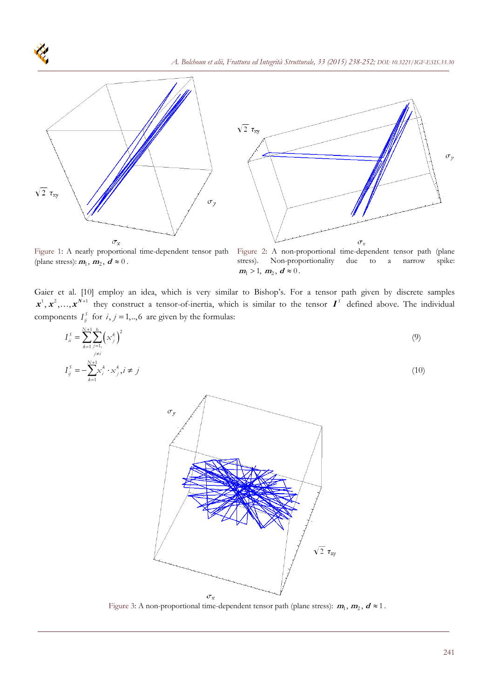



(plane stress):  $m_1$ ,  $m_2$ ,  $d \approx 0$ .

Figure 1: A nearly proportional time-dependent tensor path Figure 2: A non-proportional time-dependent tensor path (plane stress). Non-proportionality due to a narrow spike:  $m_1 > 1, m_2, d \approx 0$ .

Gaier et al. [10] employ an idea, which is very similar to Bishop's. For a tensor path given by discrete samples  $x^1, x^2, \ldots, x^{N+1}$  they construct a tensor-of-inertia, which is similar to the tensor  $I^s$  defined above. The individual components  $I_{ij}^S$  for  $i, j = 1, \dots, 6$  are given by the formulas:

$$
I_{ii}^{S} = \sum_{k=1}^{N+1} \sum_{\substack{j=1,\\j\neq i}}^{6} \left( x_{j}^{k} \right)^{2}
$$
\n
$$
I_{ij}^{S} = -\sum_{k=1}^{N+1} x_{i}^{k} \cdot x_{j}^{k}, i \neq j
$$
\n(10)



Figure 3: A non-proportional time-dependent tensor path (plane stress):  $m_1$ ,  $m_2$ ,  $d \approx 1$ .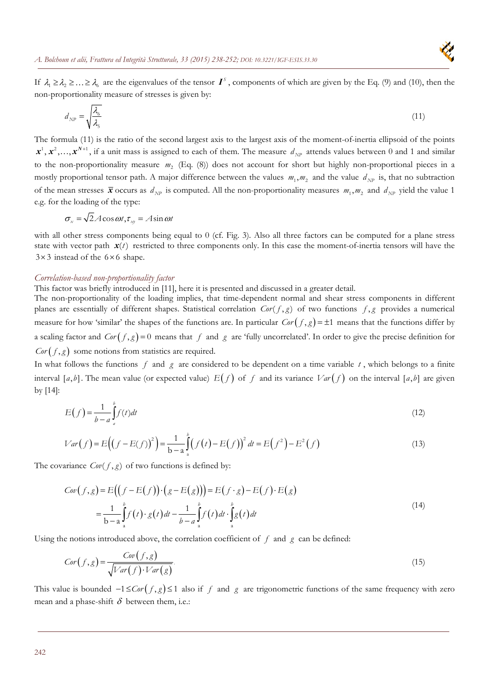If  $\lambda_1 \ge \lambda_2 \ge \ldots \ge \lambda_6$  are the eigenvalues of the tensor  $\boldsymbol{I}^s$ , components of which are given by the Eq. (9) and (10), then the non-proportionality measure of stresses is given by:

$$
d_{NP} = \sqrt{\frac{\lambda_6}{\lambda_5}}\tag{11}
$$

The formula (11) is the ratio of the second largest axis to the largest axis of the moment-of-inertia ellipsoid of the points  $x^1, x^2, \ldots, x^{N+1}$ , if a unit mass is assigned to each of them. The measure  $d_{NP}$  attends values between 0 and 1 and similar to the non-proportionality measure  $m_2$  (Eq. (8)) does not account for short but highly non-proportional pieces in a mostly proportional tensor path. A major difference between the values  $m_1, m_2$  and the value  $d_{NP}$  is, that no subtraction of the mean stresses  $\bar{x}$  occurs as  $d_{NP}$  is computed. All the non-proportionality measures  $m_1, m_2$  and  $d_{NP}$  yield the value 1 e.g. for the loading of the type:

$$
\sigma_{\rm x} = \sqrt{2}A\cos\omega t, \tau_{\rm xy} = A\sin\omega t
$$

with all other stress components being equal to 0 (cf. Fig. 3). Also all three factors can be computed for a plane stress state with vector path  $x(t)$  restricted to three components only. In this case the moment-of-inertia tensors will have the  $3 \times 3$  instead of the  $6 \times 6$  shape.

#### *Correlation-based non-proportionality factor*

This factor was briefly introduced in [11], here it is presented and discussed in a greater detail.

The non-proportionality of the loading implies, that time-dependent normal and shear stress components in different planes are essentially of different shapes. Statistical correlation  $Cor(f, g)$  of two functions  $f, g$  provides a numerical measure for how 'similar' the shapes of the functions are. In particular  $Cor(f, g) = \pm 1$  means that the functions differ by a scaling factor and  $Cor(f, g) = 0$  means that f and g are 'fully uncorrelated'. In order to give the precise definition for  $Cor(f, g)$  some notions from statistics are required.

In what follows the functions *f* and *g* are considered to be dependent on a time variable *t* , which belongs to a finite interval [a, b]. The mean value (or expected value)  $E(f)$  of f and its variance  $Var(f)$  on the interval [a, b] are given by [14]:

$$
E(f) = \frac{1}{b-a} \int_{a}^{b} f(t)dt
$$
\n(12)

$$
Var(f) = E((f - E(f))^{2}) = \frac{1}{b-a} \int_{a}^{b} (f(t) - E(f))^{2} dt = E(f^{2}) - E^{2}(f)
$$
\n(13)

The covariance  $Cov(f, g)$  of two functions is defined by:

$$
Cov(f,g) = E\Big(\Big(f - E(f)\Big) \cdot \Big(g - E(g)\Big)\Big) = E\Big(f \cdot g\Big) - E\Big(f\Big) \cdot E\Big(g\Big)
$$
  
= 
$$
\frac{1}{b-a} \int_{a}^{b} f(t) \cdot g(t) dt - \frac{1}{b-a} \int_{a}^{b} f(t) dt \cdot \int_{a}^{b} g(t) dt
$$
 (14)

Using the notions introduced above, the correlation coefficient of  $f$  and  $g$  can be defined:

$$
Cor(f,g) = \frac{Cov(f,g)}{\sqrt{Var(f) \cdot Var(g)}}.
$$
\n(15)

This value is bounded  $-1 \leq Cor(f,g) \leq 1$  also if f and g are trigonometric functions of the same frequency with zero mean and a phase-shift  $\delta$  between them, i.e.: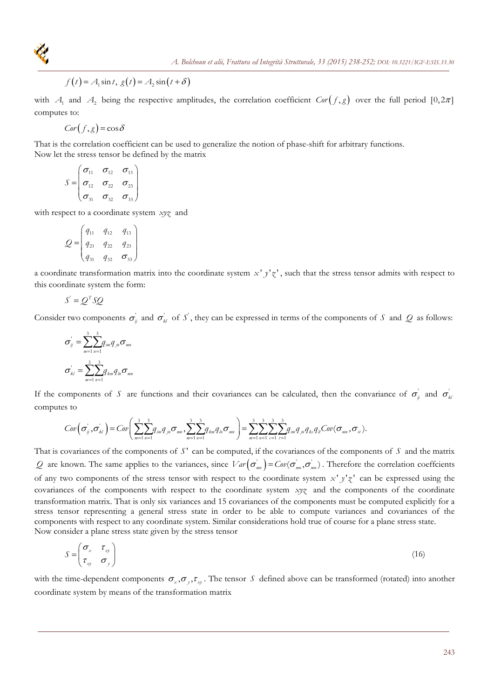

$$
f(t) = A_1 \sin t, g(t) = A_2 \sin(t + \delta)
$$

with  $A_1$  and  $A_2$  being the respective amplitudes, the correlation coefficient  $Cor(f,g)$  over the full period  $[0,2\pi]$ computes to:

*Cor*  $(f, g) = \cos \delta$ 

That is the correlation coefficient can be used to generalize the notion of phase-shift for arbitrary functions. Now let the stress tensor be defined by the matrix

$$
S = \begin{pmatrix} \sigma_{11} & \sigma_{12} & \sigma_{13} \\ \sigma_{12} & \sigma_{22} & \sigma_{23} \\ \sigma_{31} & \sigma_{32} & \sigma_{33} \end{pmatrix}
$$

with respect to a coordinate system *xyz* and

$$
Q = \begin{pmatrix} q_{11} & q_{12} & q_{13} \\ q_{21} & q_{22} & q_{23} \\ q_{31} & q_{32} & \sigma_{33} \end{pmatrix}
$$

a coordinate transformation matrix into the coordinate system  $x'$   $y'z'$ , such that the stress tensor admits with respect to this coordinate system the form:

$$
S' = Q^T S Q
$$

Consider two components  $\sigma_{ij}$  and  $\sigma_{kl}$  of *S*<sup>'</sup>, they can be expressed in terms of the components of *S* and *Q* as follows:

$$
\sigma_{ij} = \sum_{m=1}^{3} \sum_{n=1}^{3} q_{im} q_{jn} \sigma_{mn}
$$

$$
\sigma_{kl} = \sum_{m=1}^{3} \sum_{n=1}^{3} q_{km} q_{ln} \sigma_{mn}
$$

If the components of *S* are functions and their covariances can be calculated, then the convariance of  $\sigma_{ii}$  and  $\sigma_{ii}$ computes to

$$
Cov(\sigma_{ij}^{\prime}, \sigma_{kl}^{\prime}) = Cov\bigg(\sum_{m=1}^{3} \sum_{n=1}^{3} q_{im} q_{jn} \sigma_{mn}, \sum_{m=1}^{3} \sum_{n=1}^{3} q_{km} q_{ln} \sigma_{mn}\bigg) = \sum_{m=1}^{3} \sum_{n=1}^{3} \sum_{s=1}^{3} \sum_{t=1}^{3} q_{im} q_{jn} q_{ks} q_{li} Cov(\sigma_{mn}, \sigma_{st}).
$$

That is covariances of the components of *S*<sup>'</sup> can be computed, if the covariances of the components of *S* and the matrix *Q* are known. The same applies to the variances, since  $Var(\sigma_{nm}) = Cov(\sigma_{nm}, \sigma_{nm})$ . Therefore the correlation coeffcients of any two components of the stress tensor with respect to the coordinate system  $x' y' z'$  can be expressed using the covariances of the components with respect to the coordinate system *xyz* and the components of the coordinate transformation matrix. That is only six variances and 15 covariances of the components must be computed explicitly for a stress tensor representing a general stress state in order to be able to compute variances and covariances of the components with respect to any coordinate system. Similar considerations hold true of course for a plane stress state. Now consider a plane stress state given by the stress tensor

$$
S = \begin{pmatrix} \sigma_x & \tau_{xy} \\ \tau_{xy} & \sigma_y \end{pmatrix}
$$
 (16)

with the time-dependent components  $\sigma_x, \sigma_y, \tau_w$ . The tensor *S* defined above can be transformed (rotated) into another coordinate system by means of the transformation matrix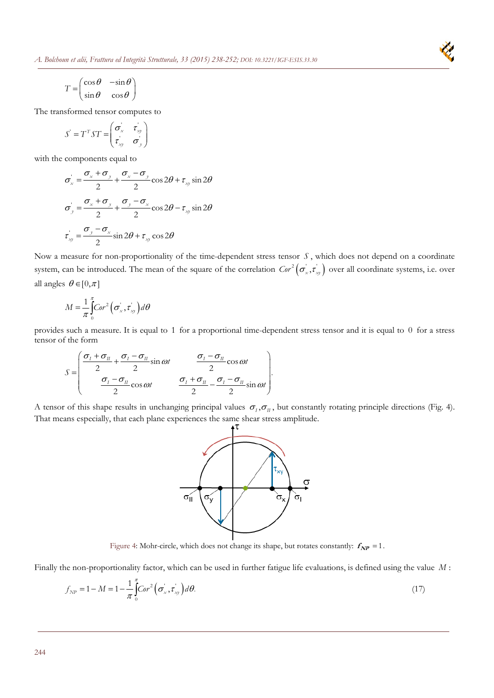

$$
T = \begin{pmatrix} \cos \theta & -\sin \theta \\ \sin \theta & \cos \theta \end{pmatrix}
$$

The transformed tensor computes to

$$
S' = T^T S T = \begin{pmatrix} \sigma_x & \tau_{xy} \\ \tau_{xy} & \sigma_y \end{pmatrix}
$$

with the components equal to

$$
\sigma_x' = \frac{\sigma_x + \sigma_y}{2} + \frac{\sigma_x - \sigma_y}{2}\cos 2\theta + \tau_{xy}\sin 2\theta
$$

$$
\sigma_y' = \frac{\sigma_x + \sigma_y}{2} + \frac{\sigma_y - \sigma_x}{2}\cos 2\theta - \tau_{xy}\sin 2\theta
$$

$$
\tau_{xy}' = \frac{\sigma_y - \sigma_x}{2}\sin 2\theta + \tau_{xy}\cos 2\theta
$$

Now a measure for non-proportionality of the time-dependent stress tensor *S* , which does not depend on a coordinate system, can be introduced. The mean of the square of the correlation  $Cor^2(\sigma_x^r, \tau_y^r)$  over all coordinate systems, i.e. over all angles  $\theta \in [0, \pi]$ 

$$
M = \frac{1}{\pi} \int_{0}^{\pi} Cor^{2} \left( \sigma_{x}^{'} , \tau_{xy}^{'} \right) d\theta
$$

provides such a measure. It is equal to 1 for a proportional time-dependent stress tensor and it is equal to 0 for a stress tensor of the form

$$
S = \begin{pmatrix} \frac{\sigma_I + \sigma_{II}}{2} + \frac{\sigma_I - \sigma_{II}}{2} \sin \omega t & \frac{\sigma_I - \sigma_{II}}{2} \cos \omega t \\ \frac{\sigma_I - \sigma_{II}}{2} \cos \omega t & \frac{\sigma_I + \sigma_{II}}{2} - \frac{\sigma_I - \sigma_{II}}{2} \sin \omega t \end{pmatrix}.
$$

A tensor of this shape results in unchanging principal values  $\sigma_I$ ,  $\sigma_{II}$ , but constantly rotating principle directions (Fig. 4). That means especially, that each plane experiences the same shear stress amplitude.



Figure 4: Mohr-circle, which does not change its shape, but rotates constantly:  $f_{NP} = 1$ .

Finally the non-proportionality factor, which can be used in further fatigue life evaluations, is defined using the value *M* :

$$
f_{NP} = 1 - M = 1 - \frac{1}{\pi} \int_{0}^{\pi} \text{Cor}^2 \left( \sigma_x, \tau_{xy} \right) d\theta. \tag{17}
$$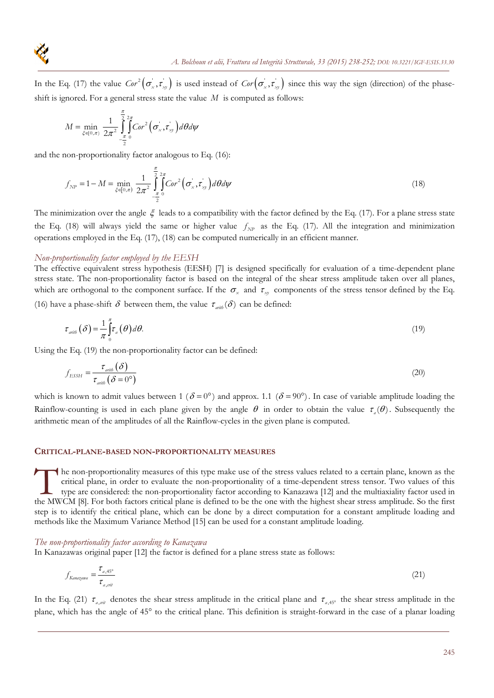

In the Eq. (17) the value  $Cor^2(\sigma_x, \tau_{xy})$  is used instead of  $Cor(\sigma_x', \tau_{xy}')$  since this way the sign (direction) of the phaseshift is ignored. For a general stress state the value *M* is computed as follows:

$$
M = \min_{\xi \in [0,\pi)} \frac{1}{2\pi^2} \int_{-\frac{\pi}{2}}^{\frac{\pi}{2}} \int_{0}^{\infty} C \sigma^2 \left( \sigma_x^{\dagger}, \tau_{xy}^{\dagger} \right) d\theta d\psi
$$

and the non-proportionality factor analogous to Eq. (16):

$$
f_{NP} = 1 - M = \min_{\xi \in [0,\pi)} \frac{1}{2\pi^2} \int_{-\frac{\pi}{2}}^{\frac{\pi}{2}} \int_{-\frac{\pi}{2}}^{\frac{2\pi}{2}} \int_{0}^{\frac{\pi}{2}} \int_{0}^{\frac{\pi}{2}} \int_{0}^{\frac{\pi}{2}} f(\sigma_x, \tau_y) d\theta d\psi
$$
 (18)

The minimization over the angle  $\xi$  leads to a compatibility with the factor defined by the Eq. (17). For a plane stress state the Eq. (18) will always yield the same or higher value  $f_{NP}$  as the Eq. (17). All the integration and minimization operations employed in the Eq. (17), (18) can be computed numerically in an efficient manner.

#### *Non-proportionality factor employed by the EESH*

The effective equivalent stress hypothesis (EESH) [7] is designed specifically for evaluation of a time-dependent plane stress state. The non-proportionality factor is based on the integral of the shear stress amplitude taken over all planes, which are orthogonal to the component surface. If the  $\sigma_x$  and  $\tau_y$  components of the stress tensor defined by the Eq.

(16) have a phase-shift  $\delta$  between them, the value  $\tau_{\text{arith}}(\delta)$  can be defined:

$$
\tau_{\text{arib}}\left(\delta\right) = \frac{1}{\pi} \int_{0}^{\pi} \tau_{a}\left(\theta\right) d\theta. \tag{19}
$$

Using the Eq. (19) the non-proportionality factor can be defined:

$$
f_{ESSH} = \frac{\tau_{\text{aritb}}(\delta)}{\tau_{\text{aritb}}(\delta = 0^{\circ})}
$$
(20)

which is known to admit values between 1 ( $\delta = 0^{\circ}$ ) and approx. 1.1 ( $\delta = 90^{\circ}$ ). In case of variable amplitude loading the Rainflow-counting is used in each plane given by the angle  $\theta$  in order to obtain the value  $\tau_a(\theta)$ . Subsequently the arithmetic mean of the amplitudes of all the Rainflow-cycles in the given plane is computed.

#### **CRITICAL-PLANE-BASED NON-PROPORTIONALITY MEASURES**

he non-proportionality measures of this type make use of the stress values related to a certain plane, known as the critical plane, in order to evaluate the non-proportionality of a time-dependent stress tensor. Two values of this type are considered: the non-proportionality factor according to Kanazawa [12] and the multiaxiality factor used in The non-proportionality measures of this type make use of the stress values related to a certain plane, known as the critical plane, in order to evaluate the non-proportionality of a time-dependent stress tensor. Two value step is to identify the critical plane, which can be done by a direct computation for a constant amplitude loading and methods like the Maximum Variance Method [15] can be used for a constant amplitude loading.

#### *The non-proportionality factor according to Kanazawa*

In Kanazawas original paper [12] the factor is defined for a plane stress state as follows:

$$
f_{Kanazamu} = \frac{\tau_{a,45^{\circ}}}{\tau_{a,crit}} \tag{21}
$$

In the Eq. (21)  $\tau_{a, \sigma i i}$  denotes the shear stress amplitude in the critical plane and  $\tau_{a, 45}$  the shear stress amplitude in the plane, which has the angle of 45° to the critical plane. This definition is straight-forward in the case of a planar loading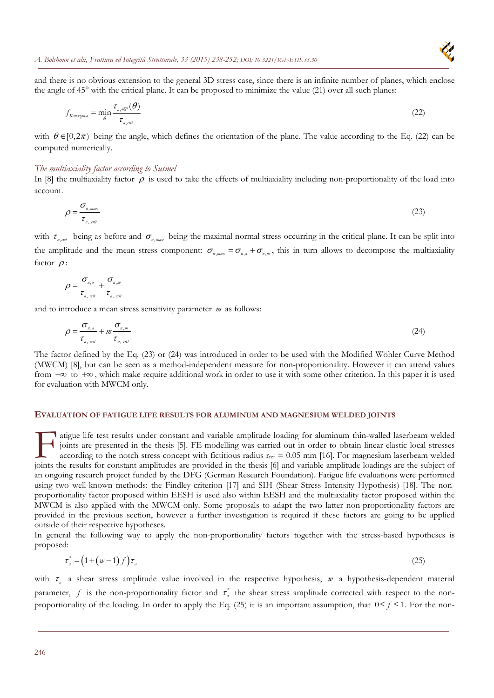

and there is no obvious extension to the general 3D stress case, since there is an infinite number of planes, which enclose the angle of 45° with the critical plane. It can be proposed to minimize the value (21) over all such planes:

$$
f_{Kanazawa} = \min_{\theta} \frac{\tau_{a,45^{\circ}}(\theta)}{\tau_{a,crit}}
$$
(22)

with  $\theta \in [0,2\pi)$  being the angle, which defines the orientation of the plane. The value according to the Eq. (22) can be computed numerically.

#### *The multiaxiality factor according to Susmel*

In [8] the multiaxiality factor  $\rho$  is used to take the effects of multiaxiality including non-proportionality of the load into account.

$$
\rho = \frac{\sigma_{n,max}}{\tau_{a,\text{crit}}} \tag{23}
$$

with  $\tau_{a,crit}$  being as before and  $\sigma_{n,max}$  being the maximal normal stress occurring in the critical plane. It can be split into the amplitude and the mean stress component:  $\sigma_{n,max} = \sigma_{n,a} + \sigma_{n,m}$ , this in turn allows to decompose the multiaxiality factor  $\rho$ :

$$
\rho = \frac{\sigma_{n,a}}{\tau_{a,\,crit}} + \frac{\sigma_{n,m}}{\tau_{a,\,crit}}
$$

and to introduce a mean stress sensitivity parameter *m* as follows:

$$
\rho = \frac{\sigma_{n,a}}{\tau_{a,\,crit}} + m \frac{\sigma_{n,m}}{\tau_{a,\,crit}} \tag{24}
$$

The factor defined by the Eq. (23) or (24) was introduced in order to be used with the Modified Wöhler Curve Method (MWCM) [8], but can be seen as a method-independent measure for non-proportionality. However it can attend values from  $-\infty$  to  $+\infty$ , which make require additional work in order to use it with some other criterion. In this paper it is used for evaluation with MWCM only.

#### **EVALUATION OF FATIGUE LIFE RESULTS FOR ALUMINUM AND MAGNESIUM WELDED JOINTS**

atigue life test results under constant and variable amplitude loading for aluminum thin-walled laserbeam welded joints are presented in the thesis [5]. FE-modelling was carried out in order to obtain linear elastic local stresses according to the notch stress concept with fictitious radius  $r_{ref} = 0.05$  mm [16]. For magnesium laserbeam welded atigue life test results under constant and variable amplitude loading for aluminum thin-walled laserbeam welded<br>joints are presented in the thesis [5]. FE-modelling was carried out in order to obtain linear elastic local an ongoing research project funded by the DFG (German Research Foundation). Fatigue life evaluations were performed using two well-known methods: the Findley-criterion [17] and SIH (Shear Stress Intensity Hypothesis) [18]. The nonproportionality factor proposed within EESH is used also within EESH and the multiaxiality factor proposed within the MWCM is also applied with the MWCM only. Some proposals to adapt the two latter non-proportionality factors are provided in the previous section, however a further investigation is required if these factors are going to be applied outside of their respective hypotheses.

In general the following way to apply the non-proportionality factors together with the stress-based hypotheses is proposed:

$$
\tau_a^* = \left(1 + \left(w - 1\right)f\right)\tau_a\tag{25}
$$

with  $\tau_a$  a shear stress amplitude value involved in the respective hypothesis,  $w$  a hypothesis-dependent material parameter,  $f$  is the non-proportionality factor and  $\tau_a^*$  the shear stress amplitude corrected with respect to the nonproportionality of the loading. In order to apply the Eq. (25) it is an important assumption, that  $0 \le f \le 1$ . For the non-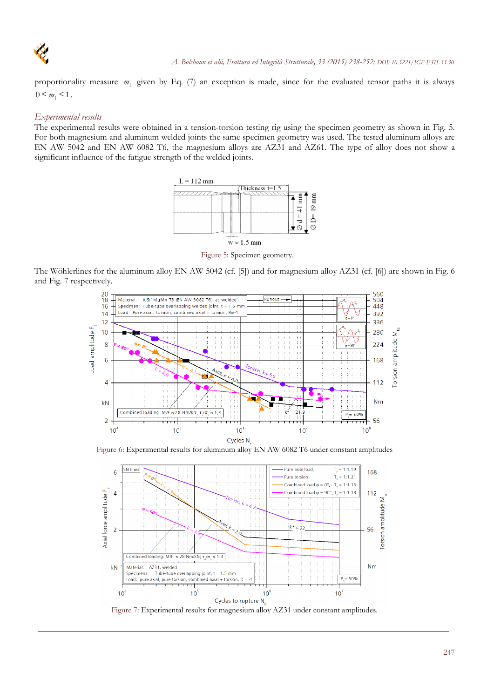

proportionality measure *m*1 given by Eq. (7) an exception is made, since for the evaluated tensor paths it is always  $0 \leq m_1 \leq 1$ .

## *Experimental results*

The experimental results were obtained in a tension-torsion testing rig using the specimen geometry as shown in Fig. 5. For both magnesium and aluminum welded joints the same specimen geometry was used. The tested aluminum alloys are EN AW 5042 and EN AW 6082 T6, the magnesium alloys are AZ31 and AZ61. The type of alloy does not show a significant influence of the fatigue strength of the welded joints.



Figure 5: Specimen geometry.

The Wöhlerlines for the aluminum alloy EN AW 5042 (cf. [5]) and for magnesium alloy AZ31 (cf. [6]) are shown in Fig. 6 and Fig. 7 respectively.



Figure 6: Experimental results for aluminum alloy EN AW 6082 T6 under constant amplitudes



Figure 7: Experimental results for magnesium alloy AZ31 under constant amplitudes.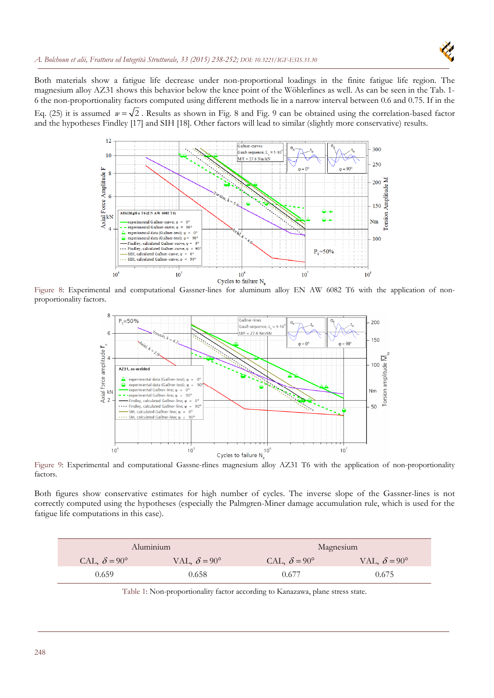Both materials show a fatigue life decrease under non-proportional loadings in the finite fatigue life region. The magnesium alloy AZ31 shows this behavior below the knee point of the Wöhlerlines as well. As can be seen in the Tab. 1- 6 the non-proportionality factors computed using different methods lie in a narrow interval between 0.6 and 0.75. If in the Eq. (25) it is assumed  $w = \sqrt{2}$ . Results as shown in Fig. 8 and Fig. 9 can be obtained using the correlation-based factor and the hypotheses Findley [17] and SIH [18]. Other factors will lead to similar (slightly more conservative) results.



Figure 8: Experimental and computational Gassner-lines for aluminum alloy EN AW 6082 T6 with the application of nonproportionality factors.



Figure 9: Experimental and computational Gassne-rlines magnesium alloy AZ31 T6 with the application of non-proportionality factors.

Both figures show conservative estimates for high number of cycles. The inverse slope of the Gassner-lines is not correctly computed using the hypotheses (especially the Palmgren-Miner damage accumulation rule, which is used for the fatigue life computations in this case).

| Aluminium                  |                            | Magnesium                  |                            |
|----------------------------|----------------------------|----------------------------|----------------------------|
| CAL, $\delta = 90^{\circ}$ | VAL, $\delta = 90^{\circ}$ | CAL, $\delta = 90^{\circ}$ | VAL, $\delta = 90^{\circ}$ |
| 0.659                      | 0.658                      | 0.677                      | 0.675                      |

Table 1: Non-proportionality factor according to Kanazawa, plane stress state.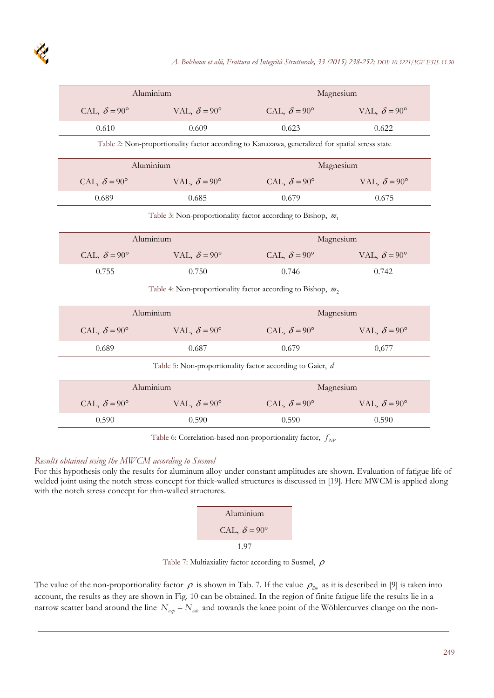| Aluminium                                                                                       |                            | Magnesium                  |                            |  |  |
|-------------------------------------------------------------------------------------------------|----------------------------|----------------------------|----------------------------|--|--|
| CAL, $\delta = 90^{\circ}$                                                                      | VAL, $\delta = 90^{\circ}$ | CAL, $\delta = 90^{\circ}$ | VAL, $\delta = 90^{\circ}$ |  |  |
| 0.610                                                                                           | 0.609                      | 0.623                      | 0.622                      |  |  |
| Table 2: Non-proportionality factor according to Kanazawa, generalized for spatial stress state |                            |                            |                            |  |  |
| Aluminium                                                                                       |                            | Magnesium                  |                            |  |  |
| CAL, $\delta = 90^{\circ}$                                                                      | VAL, $\delta = 90^{\circ}$ | CAL, $\delta = 90^{\circ}$ | VAL, $\delta = 90^{\circ}$ |  |  |
| 0.689                                                                                           | 0.685                      | 0.679                      | 0.675                      |  |  |
| Table 3: Non-proportionality factor according to Bishop, $m_1$                                  |                            |                            |                            |  |  |
| Aluminium                                                                                       |                            | Magnesium                  |                            |  |  |
| CAL, $\delta = 90^{\circ}$                                                                      | VAL, $\delta = 90^{\circ}$ | CAL, $\delta = 90^{\circ}$ | VAL, $\delta = 90^{\circ}$ |  |  |
| 0.755                                                                                           | 0.750                      | 0.746                      | 0.742                      |  |  |
| Table 4: Non-proportionality factor according to Bishop, $m_2$ ,                                |                            |                            |                            |  |  |
|                                                                                                 | Aluminium                  |                            | Magnesium                  |  |  |
| CAL, $\delta = 90^{\circ}$                                                                      | VAL, $\delta = 90^{\circ}$ | CAL, $\delta = 90^{\circ}$ | VAL, $\delta = 90^{\circ}$ |  |  |
| 0.689                                                                                           | 0.687                      | 0.679                      | 0,677                      |  |  |
| Table 5: Non-proportionality factor according to Gaier, d                                       |                            |                            |                            |  |  |
| Aluminium                                                                                       |                            | Magnesium                  |                            |  |  |
| CAL, $\delta = 90^{\circ}$                                                                      | VAL, $\delta = 90^{\circ}$ | CAL, $\delta = 90^{\circ}$ | VAL, $\delta = 90^{\circ}$ |  |  |
| 0.590                                                                                           | 0.590                      | 0.590                      | 0.590                      |  |  |

Table 6: Correlation-based non-proportionality factor,  $f_{NP}$ 

## *Results obtained using the MWCM according to Susmel*

For this hypothesis only the results for aluminum alloy under constant amplitudes are shown. Evaluation of fatigue life of welded joint using the notch stress concept for thick-walled structures is discussed in [19]. Here MWCM is applied along with the notch stress concept for thin-walled structures.

| Aluminium                  |  |  |  |
|----------------------------|--|--|--|
| CAL, $\delta = 90^{\circ}$ |  |  |  |
| 1.97                       |  |  |  |

Table 7: Multiaxiality factor according to Susmel,  $\rho$ 

The value of the non-proportionality factor  $\rho$  is shown in Tab. 7. If the value  $\rho_{\text{lim}}$  as it is described in [9] is taken into account, the results as they are shown in Fig. 10 can be obtained. In the region of finite fatigue life the results lie in a narrow scatter band around the line  $N_{exp} = N_{adv}$  and towards the knee point of the Wöhlercurves change on the non-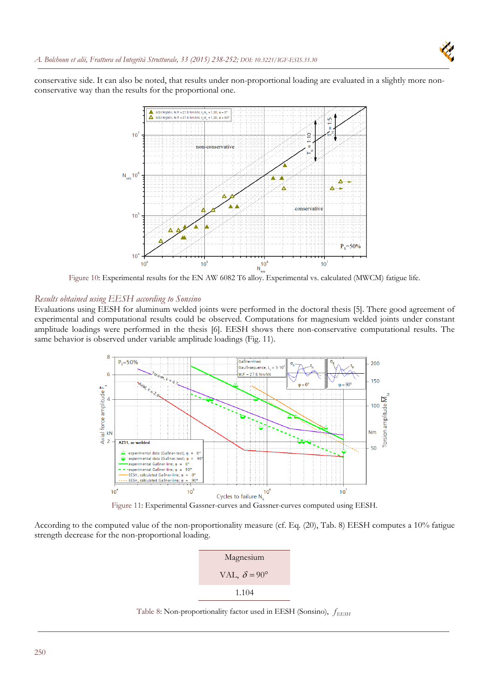

conservative side. It can also be noted, that results under non-proportional loading are evaluated in a slightly more nonconservative way than the results for the proportional one.



Figure 10: Experimental results for the EN AW 6082 T6 alloy. Experimental vs. calculated (MWCM) fatigue life.

## *Results obtained using EESH according to Sonsino*

Evaluations using EESH for aluminum welded joints were performed in the doctoral thesis [5]. There good agreement of experimental and computational results could be observed. Computations for magnesium welded joints under constant amplitude loadings were performed in the thesis [6]. EESH shows there non-conservative computational results. The same behavior is observed under variable amplitude loadings (Fig. 11).



According to the computed value of the non-proportionality measure (cf. Eq. (20), Tab. 8) EESH computes a 10% fatigue strength decrease for the non-proportional loading.



Table 8: Non-proportionality factor used in EESH (Sonsino),  $f_{\rm EESH}$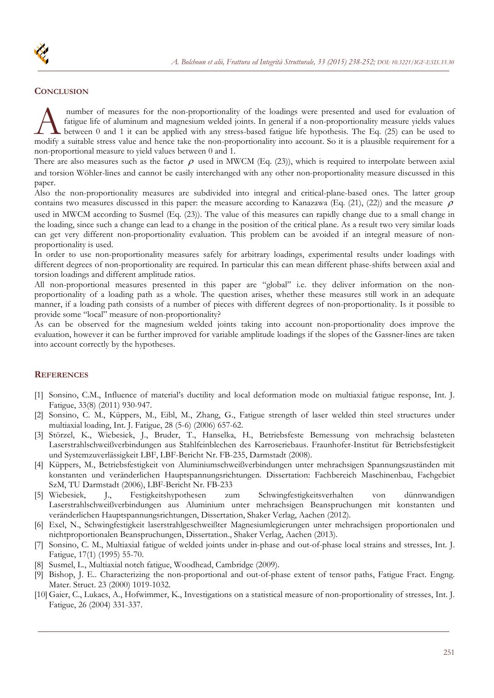# **CONCLUSION**

 number of measures for the non-proportionality of the loadings were presented and used for evaluation of fatigue life of aluminum and magnesium welded joints. In general if a non-proportionality measure yields values between 0 and 1 it can be applied with any stress-based fatigue life hypothesis. The Eq. (25) can be used to mumber of measures for the non-proportionality of the loadings were presented and used for evaluation of fatigue life of aluminum and magnesium welded joints. In general if a non-proportionality measure yields values betwe non-proportional measure to yield values between 0 and 1.

There are also measures such as the factor  $\rho$  used in MWCM (Eq. (23)), which is required to interpolate between axial and torsion Wöhler-lines and cannot be easily interchanged with any other non-proportionality measure discussed in this paper.

Also the non-proportionality measures are subdivided into integral and critical-plane-based ones. The latter group contains two measures discussed in this paper: the measure according to Kanazawa (Eq. (21), (22)) and the measure  $\rho$ used in MWCM according to Susmel (Eq. (23)). The value of this measures can rapidly change due to a small change in the loading, since such a change can lead to a change in the position of the critical plane. As a result two very similar loads can get very different non-proportionality evaluation. This problem can be avoided if an integral measure of nonproportionality is used.

In order to use non-proportionality measures safely for arbitrary loadings, experimental results under loadings with different degrees of non-proportionality are required. In particular this can mean different phase-shifts between axial and torsion loadings and different amplitude ratios.

All non-proportional measures presented in this paper are "global" i.e. they deliver information on the nonproportionality of a loading path as a whole. The question arises, whether these measures still work in an adequate manner, if a loading path consists of a number of pieces with different degrees of non-proportionality. Is it possible to provide some "local" measure of non-proportionality?

As can be observed for the magnesium welded joints taking into account non-proportionality does improve the evaluation, however it can be further improved for variable amplitude loadings if the slopes of the Gassner-lines are taken into account correctly by the hypotheses.

# **REFERENCES**

- [1] Sonsino, C.M., Influence of material's ductility and local deformation mode on multiaxial fatigue response, Int. J. Fatigue, 33(8) (2011) 930-947.
- [2] Sonsino, C. M., Küppers, M., Eibl, M., Zhang, G., Fatigue strength of laser welded thin steel structures under multiaxial loading, Int. J. Fatigue, 28 (5-6) (2006) 657-62.
- [3] Störzel, K., Wiebesiek, J., Bruder, T., Hanselka, H., Betriebsfeste Bemessung von mehrachsig belasteten Laserstrahlschweißverbindungen aus Stahlfeinblechen des Karroseriebaus. Fraunhofer-Institut für Betriebsfestigkeit und Systemzuverlässigkeit LBF, LBF-Bericht Nr. FB-235, Darmstadt (2008).
- [4] Küppers, M., Betriebsfestigkeit von Aluminiumschweißverbindungen unter mehrachsigen Spannungszuständen mit konstanten und veränderlichen Hauptspannungsrichtungen. Dissertation: Fachbereich Maschinenbau, Fachgebiet SzM, TU Darmstadt (2006), LBF-Bericht Nr. FB-233
- [5] Wiebesiek, J., Festigkeitshypothesen zum Schwingfestigkeitsverhalten von dünnwandigen Laserstrahlschweißverbindungen aus Aluminium unter mehrachsigen Beanspruchungen mit konstanten und veränderlichen Hauptspannungsrichtungen, Dissertation, Shaker Verlag, Aachen (2012).
- [6] Exel, N., Schwingfestigkeit laserstrahlgeschweißter Magnesiumlegierungen unter mehrachsigen proportionalen und nichtproportionalen Beanspruchungen, Dissertation., Shaker Verlag, Aachen (2013).
- [7] Sonsino, C. M., Multiaxial fatigue of welded joints under in-phase and out-of-phase local strains and stresses, Int. J. Fatigue, 17(1) (1995) 55-70.
- [8] Susmel, L., Multiaxial notch fatigue, Woodhead, Cambridge (2009).
- [9] Bishop, J. E.. Characterizing the non-proportional and out-of-phase extent of tensor paths, Fatigue Fract. Engng. Mater. Struct. 23 (2000) 1019-1032.
- [10] Gaier, C., Lukacs, A., Hofwimmer, K., Investigations on a statistical measure of non-proportionality of stresses, Int. J. Fatigue, 26 (2004) 331-337.